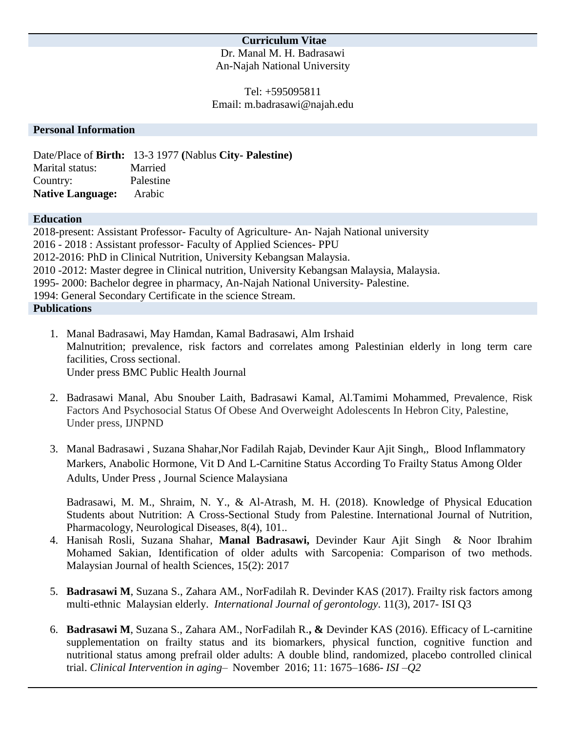## **Curriculum Vitae**

Dr. Manal M. H. Badrasawi An-Najah National University

Tel: +595095811 Email: m.badrasawi@najah.edu

#### **Personal Information**

Date/Place of **Birth:** 13-3 1977 **(**Nablus **City- Palestine)** Marital status:Married Country:Palestine **Native Language:** Arabic

#### **Education**

2018-present: Assistant Professor- Faculty of Agriculture- An- Najah National university 2016 - 2018 : Assistant professor- Faculty of Applied Sciences- PPU 2012-2016: PhD in Clinical Nutrition, University Kebangsan Malaysia. 2010 -2012: Master degree in Clinical nutrition, University Kebangsan Malaysia, Malaysia. 1995- 2000: Bachelor degree in pharmacy, An-Najah National University- Palestine. 1994: General Secondary Certificate in the science Stream. **Publications**

- 1. Manal Badrasawi, May Hamdan, Kamal Badrasawi, Alm Irshaid Malnutrition; prevalence, risk factors and correlates among Palestinian elderly in long term care facilities, Cross sectional. Under press BMC Public Health Journal
- 2. Badrasawi Manal, Abu Snouber Laith, Badrasawi Kamal, Al.Tamimi Mohammed, Prevalence, Risk Factors And Psychosocial Status Of Obese And Overweight Adolescents In Hebron City, Palestine, Under press, IJNPND
- 3. Manal Badrasawi , Suzana Shahar,Nor Fadilah Rajab, Devinder Kaur Ajit Singh,, Blood Inflammatory Markers, Anabolic Hormone, Vit D And L-Carnitine Status According To Frailty Status Among Older Adults, Under Press , Journal Science Malaysiana

Badrasawi, M. M., Shraim, N. Y., & Al-Atrash, M. H. (2018). Knowledge of Physical Education Students about Nutrition: A Cross-Sectional Study from Palestine. International Journal of Nutrition, Pharmacology, Neurological Diseases, 8(4), 101..

- 4. Hanisah Rosli, Suzana Shahar, **Manal Badrasawi,** Devinder Kaur Ajit Singh & Noor Ibrahim Mohamed Sakian, Identification of older adults with Sarcopenia: Comparison of two methods. Malaysian Journal of health Sciences, 15(2): 2017
- 5. **Badrasawi M**, Suzana S., Zahara AM., NorFadilah R. Devinder KAS (2017). Frailty risk factors among multi-ethnic Malaysian elderly. *International Journal of gerontology*. 11(3), 2017- ISI Q3
- 6. **Badrasawi M**, Suzana S., Zahara AM., NorFadilah R.**, &** Devinder KAS (2016). Efficacy of L-carnitine supplementation on frailty status and its biomarkers, physical function, cognitive function and nutritional status among prefrail older adults: A double blind, randomized, placebo controlled clinical trial. *Clinical Intervention in aging–* November 2016; 11: 1675–1686*- ISI –Q2*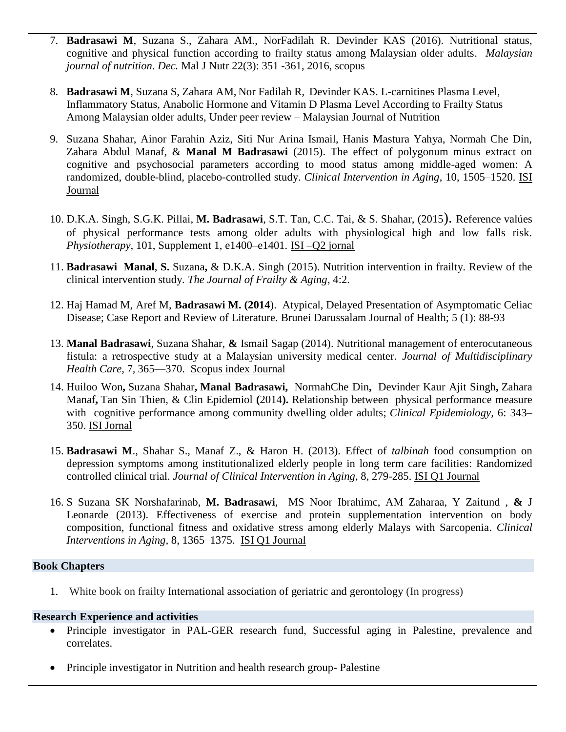- 7. **Badrasawi M**, Suzana S., Zahara AM., NorFadilah R. Devinder KAS (2016). Nutritional status, cognitive and physical function according to frailty status among Malaysian older adults. *Malaysian journal of nutrition. Dec.* Mal J Nutr 22(3): 351 -361, 2016, scopus
- 8. **Badrasawi M**, Suzana S, Zahara AM, Nor Fadilah R, Devinder KAS. L-carnitines Plasma Level, Inflammatory Status, Anabolic Hormone and Vitamin D Plasma Level According to Frailty Status Among Malaysian older adults, Under peer review – Malaysian Journal of Nutrition
- 9. Suzana Shahar, Ainor Farahin Aziz, Siti Nur Arina Ismail, Hanis Mastura Yahya, Normah Che Din, Zahara Abdul Manaf, & **Manal M Badrasawi** (2015). The effect of polygonum minus extract on cognitive and psychosocial parameters according to mood status among middle-aged women: A randomized, double-blind, placebo-controlled study. *Clinical Intervention in Aging*, 10, 1505–1520. ISI Journal
- 10. [D.K.A. Singh, S.G.K. Pillai,](javascript:void(0);) **M. [Badrasawi](javascript:void(0);)**, [S.T. Tan, C.C. Tai,](javascript:void(0);) & [S. Shahar,](javascript:void(0);) [\(2015](http://www.physiotherapyjournal.com/issue/S0031-9406(15)X0004-6)). Reference valúes of physical performance tests among older adults with physiological high and low falls risk. *Physiotherapy*, 101, Supplement 1, e1400–e1401. ISI –Q2 jornal
- 11. **Badrasawi Manal**, **S.** Suzana**,** & D.K.A. Singh (2015). Nutrition intervention in frailty. Review of the clinical intervention study. *The Journal of Frailty & Aging*, 4:2.
- 12. Haj Hamad M, Aref M, **Badrasawi M. (2014**). Atypical, Delayed Presentation of Asymptomatic Celiac Disease; Case Report and Review of Literature. Brunei Darussalam Journal of Health; 5 (1): 88-93
- 13. **Manal Badrasawi**, Suzana Shahar, **&** Ismail Sagap (2014). Nutritional management of enterocutaneous fistula: a retrospective study at a Malaysian university medical center. *Journal of Multidisciplinary Health Care*, [7](http://www.dovepress.com/journal-of-multidisciplinary-healthcare-archive7-v754), 365—370. Scopus index Journal
- 14. Huiloo Won**,** Suzana Shahar**, Manal Badrasawi,** NormahChe Din**,** Devinder Kaur Ajit Singh**,** Zahara Manaf**,** Tan Sin Thien, & Clin Epidemiol **(**2014**).** Relationship between physical performance measure with cognitive performance among community dwelling older adults; *Clinical Epidemiology,* 6: 343– 350. ISI Jornal
- 15. **Badrasawi M**., Shahar S., Manaf Z., & Haron H. (2013). Effect of *talbinah* food consumption on depression symptoms among institutionalized elderly people in long term care facilities: Randomized controlled clinical trial. *Journal of Clinical Intervention in Aging*, 8, 279-285. ISI Q1 Journal
- 16. S Suzana SK Norshafarinab, **M. Badrasawi**, MS Noor Ibrahimc, AM Zaharaa, Y Zaitund , **&** J Leonarde (2013). Effectiveness of exercise and protein supplementation intervention on body composition, functional fitness and oxidative stress among elderly Malays with Sarcopenia. *Clinical Interventions in Aging,* 8, 1365–1375. ISI Q1 Journal

#### **Book Chapters**

1. White book on frailty International association of geriatric and gerontology (In progress)

# **Research Experience and activities**

- Principle investigator in PAL-GER research fund, Successful aging in Palestine, prevalence and correlates.
- Principle investigator in Nutrition and health research group- Palestine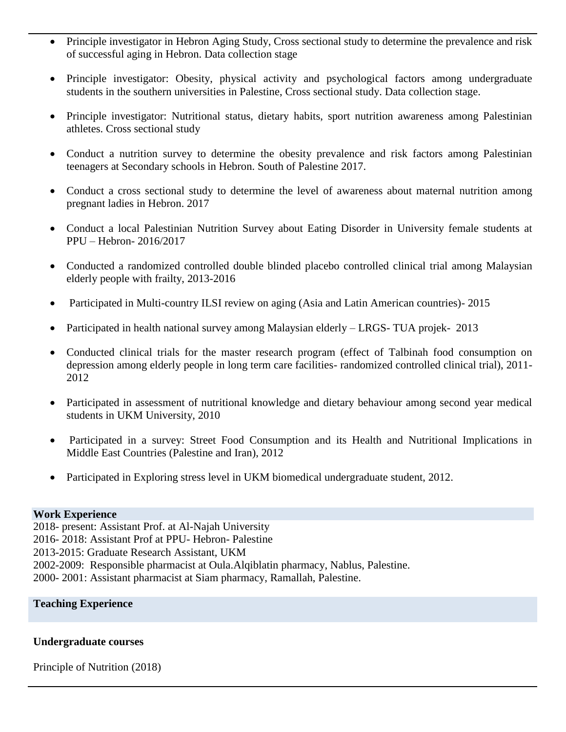- Principle investigator in Hebron Aging Study, Cross sectional study to determine the prevalence and risk of successful aging in Hebron. Data collection stage
- Principle investigator: Obesity, physical activity and psychological factors among undergraduate students in the southern universities in Palestine, Cross sectional study. Data collection stage.
- Principle investigator: Nutritional status, dietary habits, sport nutrition awareness among Palestinian athletes. Cross sectional study
- Conduct a nutrition survey to determine the obesity prevalence and risk factors among Palestinian teenagers at Secondary schools in Hebron. South of Palestine 2017.
- Conduct a cross sectional study to determine the level of awareness about maternal nutrition among pregnant ladies in Hebron. 2017
- Conduct a local Palestinian Nutrition Survey about Eating Disorder in University female students at PPU – Hebron- 2016/2017
- Conducted a randomized controlled double blinded placebo controlled clinical trial among Malaysian elderly people with frailty, 2013-2016
- Participated in Multi-country ILSI review on aging (Asia and Latin American countries)- 2015
- Participated in health national survey among Malaysian elderly LRGS- TUA projek- 2013
- Conducted clinical trials for the master research program (effect of Talbinah food consumption on depression among elderly people in long term care facilities- randomized controlled clinical trial), 2011- 2012
- Participated in assessment of nutritional knowledge and dietary behaviour among second year medical students in UKM University, 2010
- Participated in a survey: Street Food Consumption and its Health and Nutritional Implications in Middle East Countries (Palestine and Iran), 2012
- Participated in Exploring stress level in UKM biomedical undergraduate student, 2012.

### **Work Experience**

2018- present: Assistant Prof. at Al-Najah University 2016- 2018: Assistant Prof at PPU- Hebron- Palestine 2013-2015: Graduate Research Assistant, UKM 2002-2009: Responsible pharmacist at Oula.Alqiblatin pharmacy, Nablus, Palestine. 2000- 2001: Assistant pharmacist at Siam pharmacy, Ramallah, Palestine.

### **Teaching Experience**

### **Undergraduate courses**

Principle of Nutrition (2018)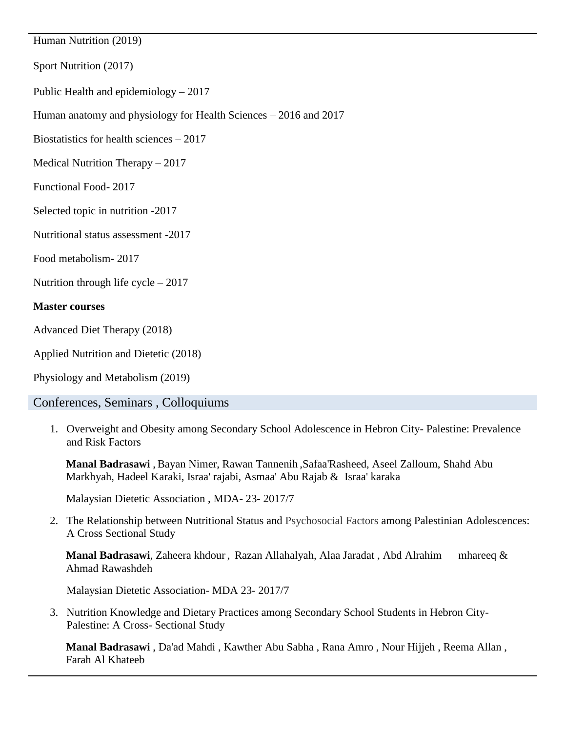Human Nutrition (2019)

Sport Nutrition (2017)

Public Health and epidemiology – 2017

Human anatomy and physiology for Health Sciences – 2016 and 2017

Biostatistics for health sciences – 2017

Medical Nutrition Therapy – 2017

Functional Food- 2017

Selected topic in nutrition -2017

Nutritional status assessment -2017

Food metabolism- 2017

Nutrition through life cycle – 2017

### **Master courses**

Advanced Diet Therapy (2018)

Applied Nutrition and Dietetic (2018)

Physiology and Metabolism (2019)

# Conferences, Seminars , Colloquiums

1. Overweight and Obesity among Secondary School Adolescence in Hebron City- Palestine: Prevalence and Risk Factors

**Manal Badrasawi** , Bayan Nimer, Rawan Tannenih ,Safaa'Rasheed, Aseel Zalloum, Shahd Abu Markhyah, Hadeel Karaki, Israa' rajabi, Asmaa' Abu Rajab & Israa' karaka

Malaysian Dietetic Association , MDA- 23- 2017/7

2. The Relationship between Nutritional Status and Psychosocial Factors among Palestinian Adolescences: A Cross Sectional Study

**Manal Badrasawi**, Zaheera khdour , Razan Allahalyah, Alaa Jaradat , Abd Alrahim mhareeq & Ahmad Rawashdeh

Malaysian Dietetic Association- MDA 23- 2017/7

3. Nutrition Knowledge and Dietary Practices among Secondary School Students in Hebron City-Palestine: A Cross- Sectional Study

**Manal Badrasawi** , Da'ad Mahdi , Kawther Abu Sabha , Rana Amro , Nour Hijjeh , Reema Allan , Farah Al Khateeb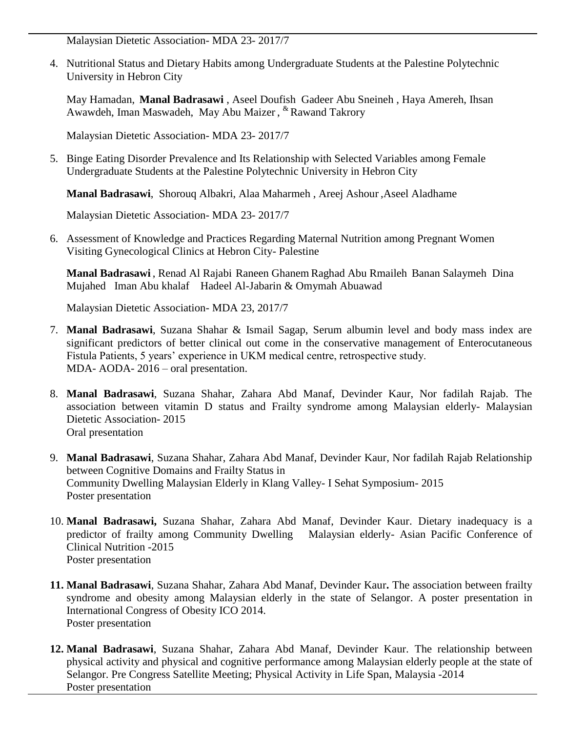Malaysian Dietetic Association- MDA 23- 2017/7

4. Nutritional Status and Dietary Habits among Undergraduate Students at the Palestine Polytechnic University in Hebron City

May Hamadan, **Manal Badrasawi** , Aseel Doufish Gadeer Abu Sneineh , Haya Amereh, Ihsan Awawdeh, Iman Maswadeh, May Abu Maizer , & Rawand Takrory

Malaysian Dietetic Association- MDA 23- 2017/7

5. Binge Eating Disorder Prevalence and Its Relationship with Selected Variables among Female Undergraduate Students at the Palestine Polytechnic University in Hebron City

**Manal Badrasawi**, Shorouq Albakri, Alaa Maharmeh , Areej Ashour ,Aseel Aladhame

Malaysian Dietetic Association- MDA 23- 2017/7

6. Assessment of Knowledge and Practices Regarding Maternal Nutrition among Pregnant Women Visiting Gynecological Clinics at Hebron City- Palestine

**Manal Badrasawi** , Renad Al Rajabi Raneen Ghanem Raghad Abu Rmaileh Banan Salaymeh Dina Mujahed Iman Abu khalaf Hadeel Al-Jabarin & Omymah Abuawad

Malaysian Dietetic Association- MDA 23, 2017/7

- 7. **Manal Badrasawi**, Suzana Shahar & Ismail Sagap, Serum albumin level and body mass index are significant predictors of better clinical out come in the conservative management of Enterocutaneous Fistula Patients, 5 years' experience in UKM medical centre, retrospective study. MDA- AODA- 2016 – oral presentation.
- 8. **Manal Badrasawi**, Suzana Shahar, Zahara Abd Manaf, Devinder Kaur, Nor fadilah Rajab. The association between vitamin D status and Frailty syndrome among Malaysian elderly- Malaysian Dietetic Association- 2015 Oral presentation
- 9. **Manal Badrasawi**, Suzana Shahar, Zahara Abd Manaf, Devinder Kaur, Nor fadilah Rajab Relationship between Cognitive Domains and Frailty Status in Community Dwelling Malaysian Elderly in Klang Valley- I Sehat Symposium- 2015 Poster presentation
- 10. **Manal Badrasawi,** Suzana Shahar, Zahara Abd Manaf, Devinder Kaur. Dietary inadequacy is a predictor of frailty among Community Dwelling Malaysian elderly- Asian Pacific Conference of Clinical Nutrition -2015 Poster presentation
- **11. Manal Badrasawi**, Suzana Shahar, Zahara Abd Manaf, Devinder Kaur**.** The association between frailty syndrome and obesity among Malaysian elderly in the state of Selangor. A poster presentation in International Congress of Obesity ICO 2014. Poster presentation
- **12. Manal Badrasawi**, Suzana Shahar, Zahara Abd Manaf, Devinder Kaur. The relationship between physical activity and physical and cognitive performance among Malaysian elderly people at the state of Selangor. Pre Congress Satellite Meeting; Physical Activity in Life Span, Malaysia -2014 Poster presentation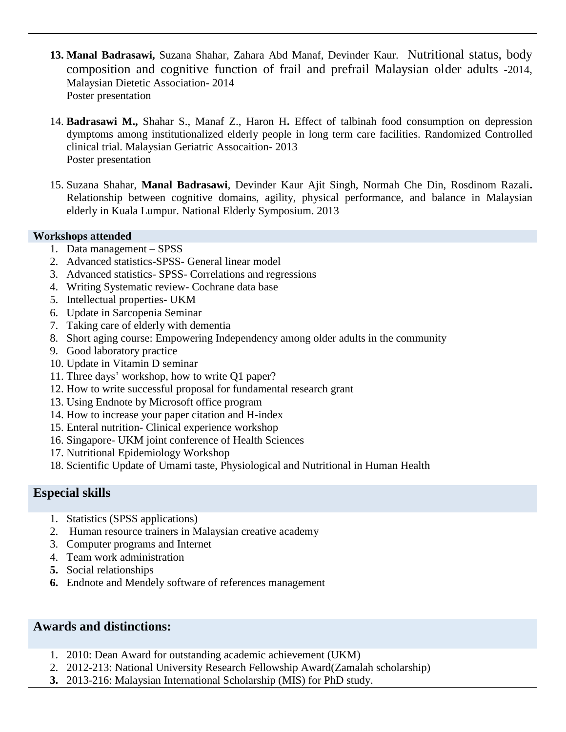- **13. Manal Badrasawi,** Suzana Shahar, Zahara Abd Manaf, Devinder Kaur. Nutritional status, body composition and cognitive function of frail and prefrail Malaysian older adults **-**2014, Malaysian Dietetic Association- 2014 Poster presentation
- 14. **Badrasawi M.,** Shahar S., Manaf Z., Haron H**.** Effect of talbinah food consumption on depression dymptoms among institutionalized elderly people in long term care facilities. Randomized Controlled clinical trial. Malaysian Geriatric Assocaition- 2013 Poster presentation
- 15. Suzana Shahar, **Manal Badrasawi**, Devinder Kaur Ajit Singh, Normah Che Din, Rosdinom Razali**.**  Relationship between cognitive domains, agility, physical performance, and balance in Malaysian elderly in Kuala Lumpur. National Elderly Symposium. 2013

## **Workshops attended**

- 1. Data management SPSS
- 2. Advanced statistics-SPSS- General linear model
- 3. Advanced statistics- SPSS- Correlations and regressions
- 4. Writing Systematic review- Cochrane data base
- 5. Intellectual properties- UKM
- 6. Update in Sarcopenia Seminar
- 7. Taking care of elderly with dementia
- 8. Short aging course: Empowering Independency among older adults in the community
- 9. Good laboratory practice
- 10. Update in Vitamin D seminar
- 11. Three days' workshop, how to write Q1 paper?
- 12. How to write successful proposal for fundamental research grant
- 13. Using Endnote by Microsoft office program
- 14. How to increase your paper citation and H-index
- 15. Enteral nutrition- Clinical experience workshop
- 16. Singapore- UKM joint conference of Health Sciences
- 17. Nutritional Epidemiology Workshop
- 18. Scientific Update of Umami taste, Physiological and Nutritional in Human Health

# **Especial skills**

- 1. Statistics (SPSS applications)
- 2. Human resource trainers in Malaysian creative academy
- 3. Computer programs and Internet
- 4. Team work administration
- **5.** Social relationships
- **6.** Endnote and Mendely software of references management

# **Awards and distinctions:**

- 1. 2010: Dean Award for outstanding academic achievement (UKM)
- 2. 2012-213: National University Research Fellowship Award(Zamalah scholarship)
- **3.** 2013-216: Malaysian International Scholarship (MIS) for PhD study.